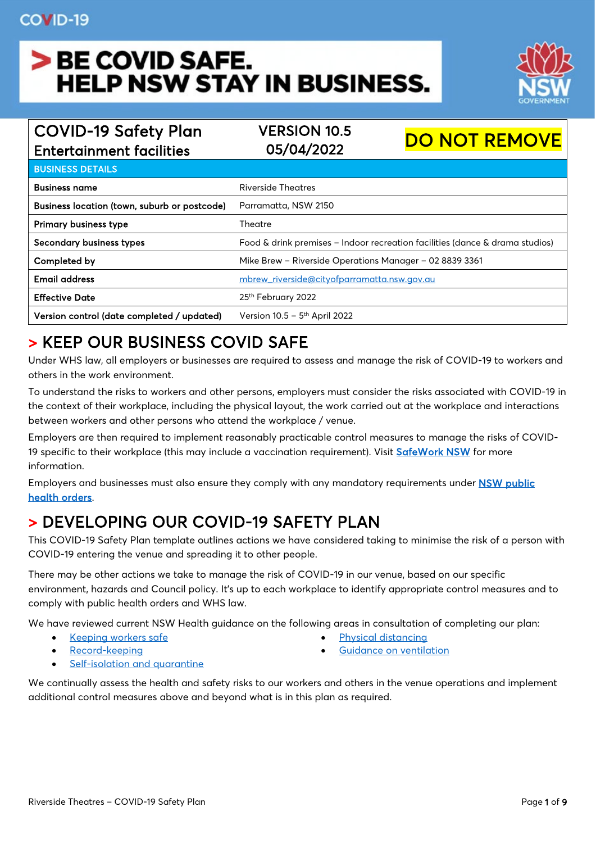# > BE COVID SAFE. **HELP NSW STAY IN BUSINESS.**



| <b>COVID-19 Safety Plan</b>                  | <b>VERSION 10.5</b>                                                          | <b>DO NOT REMOVE</b> |
|----------------------------------------------|------------------------------------------------------------------------------|----------------------|
| <b>Entertainment facilities</b>              | 05/04/2022                                                                   |                      |
| <b>BUSINESS DETAILS</b>                      |                                                                              |                      |
| <b>Business name</b>                         | Riverside Theatres                                                           |                      |
| Business location (town, suburb or postcode) | Parramatta, NSW 2150                                                         |                      |
| <b>Primary business type</b>                 | Theatre                                                                      |                      |
| Secondary business types                     | Food & drink premises - Indoor recreation facilities (dance & drama studios) |                      |
| Completed by                                 | Mike Brew - Riverside Operations Manager - 02 8839 3361                      |                      |
| <b>Email address</b>                         | mbrew_riverside@cityofparramatta.nsw.gov.au                                  |                      |
| <b>Effective Date</b>                        | 25 <sup>th</sup> February 2022                                               |                      |
| Version control (date completed / updated)   | Version 10.5 - 5 <sup>th</sup> April 2022                                    |                      |

### > KEEP OUR BUSINESS COVID SAFE

Under WHS law, all employers or businesses are required to assess and manage the risk of COVID-19 to workers and others in the work environment.

To understand the risks to workers and other persons, employers must consider the risks associated with COVID-19 in the context of their workplace, including the physical layout, the work carried out at the workplace and interactions between workers and other persons who attend the workplace / venue.

Employers are then required to implement reasonably practicable control measures to manage the risks of COVID-19 specific to their workplace (this may include a vaccination requirement). Visit [SafeWork NSW](https://www.safework.nsw.gov.au/resource-library/COVID-19-Coronavirus) for more information.

Employers and businesses must also ensure they comply with any mandatory requirements under [NSW public](https://www.nsw.gov.au/covid-19/stay-safe/rules)  [health orders.](https://www.nsw.gov.au/covid-19/stay-safe/rules)

### > DEVELOPING OUR COVID-19 SAFETY PLAN

This COVID-19 Safety Plan template outlines actions we have considered taking to minimise the risk of a person with COVID-19 entering the venue and spreading it to other people.

There may be other actions we take to manage the risk of COVID-19 in our venue, based on our specific environment, hazards and Council policy. It's up to each workplace to identify appropriate control measures and to comply with public health orders and WHS law.

We have reviewed current NSW Health guidance on the following areas in consultation of completing our plan:

- [Keeping workers safe](https://www.nsw.gov.au/covid-19/business/covid-safe-business/keeping-workers-safe)  **[Physical distancing](https://www.nsw.gov.au/covid-19/stay-safe/physical-distancing)**
- 
- [Record-keeping](https://www.nsw.gov.au/covid-19/covid-safe/customer-record-keeping/qr-codes#get-the-nsw-government-qr-code-for-your-business) [Guidance on ventilation](https://www.nsw.gov.au/covid-19/business/covid-safe-business/ventilation)
- 

• [Self-isolation and quarantine](https://www.nsw.gov.au/covid-19/what-you-can-and-cant-do-under-rules/self-isolation)

We continually assess the health and safety risks to our workers and others in the venue operations and implement additional control measures above and beyond what is in this plan as required.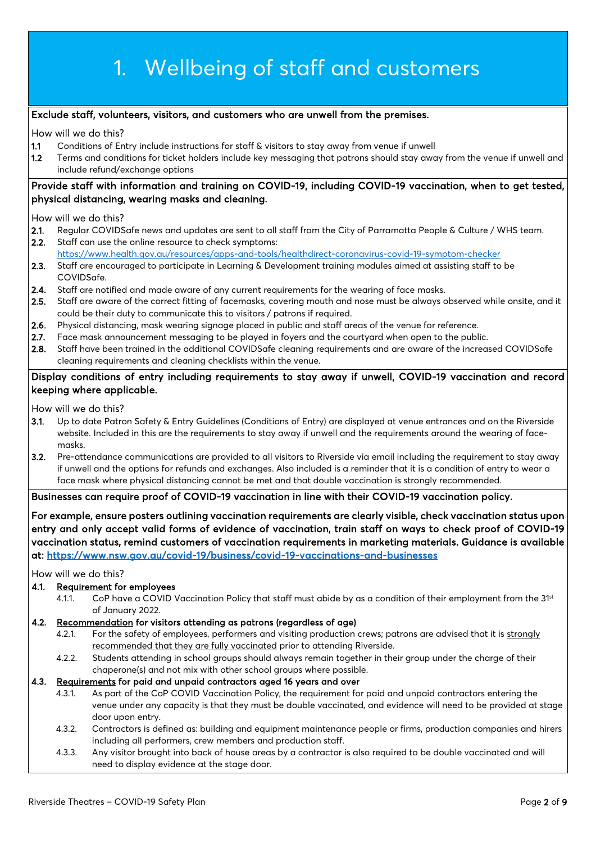# 1. Wellbeing of staff and customers

### Exclude staff, volunteers, visitors, and customers who are unwell from the premises.

How will we do this?

- 1.1 Conditions of Entry include instructions for staff & visitors to stay away from venue if unwell
- 1.2 Terms and conditions for ticket holders include key messaging that patrons should stay away from the venue if unwell and include refund/exchange options

### Provide staff with information and training on COVID-19, including COVID-19 vaccination, when to get tested, physical distancing, wearing masks and cleaning.

How will we do this?

- 2.1. Regular COVIDSafe news and updates are sent to all staff from the City of Parramatta People & Culture / WHS team.
- 2.2. Staff can use the online resource to check symptoms: <https://www.health.gov.au/resources/apps-and-tools/healthdirect-coronavirus-covid-19-symptom-checker>
- 2.3. Staff are encouraged to participate in Learning & Development training modules aimed at assisting staff to be COVIDSafe.
- 2.4. Staff are notified and made aware of any current requirements for the wearing of face masks.
- 2.5. Staff are aware of the correct fitting of facemasks, covering mouth and nose must be always observed while onsite, and it could be their duty to communicate this to visitors / patrons if required.
- 2.6. Physical distancing, mask wearing signage placed in public and staff areas of the venue for reference.
- 2.7. Face mask announcement messaging to be played in foyers and the courtyard when open to the public.
- 2.8. Staff have been trained in the additional COVIDSafe cleaning requirements and are aware of the increased COVIDSafe cleaning requirements and cleaning checklists within the venue.

### Display conditions of entry including requirements to stay away if unwell, COVID-19 vaccination and record keeping where applicable.

How will we do this?

- 3.1. Up to date Patron Safety & Entry Guidelines (Conditions of Entry) are displayed at venue entrances and on the Riverside website. Included in this are the requirements to stay away if unwell and the requirements around the wearing of facemasks.
- 3.2. Pre-attendance communications are provided to all visitors to Riverside via email including the requirement to stay away if unwell and the options for refunds and exchanges. Also included is a reminder that it is a condition of entry to wear a face mask where physical distancing cannot be met and that double vaccination is strongly recommended.

#### Businesses can require proof of COVID-19 vaccination in line with their COVID-19 vaccination policy.

For example, ensure posters outlining vaccination requirements are clearly visible, check vaccination status upon entry and only accept valid forms of evidence of vaccination, train staff on ways to check proof of COVID-19 vaccination status, remind customers of vaccination requirements in marketing materials. Guidance is available at:<https://www.nsw.gov.au/covid-19/business/covid-19-vaccinations-and-businesses>

How will we do this?

#### 4.1. Requirement for employees

4.1.1. CoP have a COVID Vaccination Policy that staff must abide by as a condition of their employment from the 31<sup>st</sup> of January 2022.

#### 4.2. Recommendation for visitors attending as patrons (regardless of age)

- 4.2.1. For the safety of employees, performers and visiting production crews; patrons are advised that it is strongly recommended that they are fully vaccinated prior to attending Riverside.
- 4.2.2. Students attending in school groups should always remain together in their group under the charge of their chaperone(s) and not mix with other school groups where possible.

#### 4.3. Requirements for paid and unpaid contractors aged 16 years and over

- 4.3.1. As part of the CoP COVID Vaccination Policy, the requirement for paid and unpaid contractors entering the venue under any capacity is that they must be double vaccinated, and evidence will need to be provided at stage door upon entry.
- 4.3.2. Contractors is defined as: building and equipment maintenance people or firms, production companies and hirers including all performers, crew members and production staff.
- 4.3.3. Any visitor brought into back of house areas by a contractor is also required to be double vaccinated and will need to display evidence at the stage door.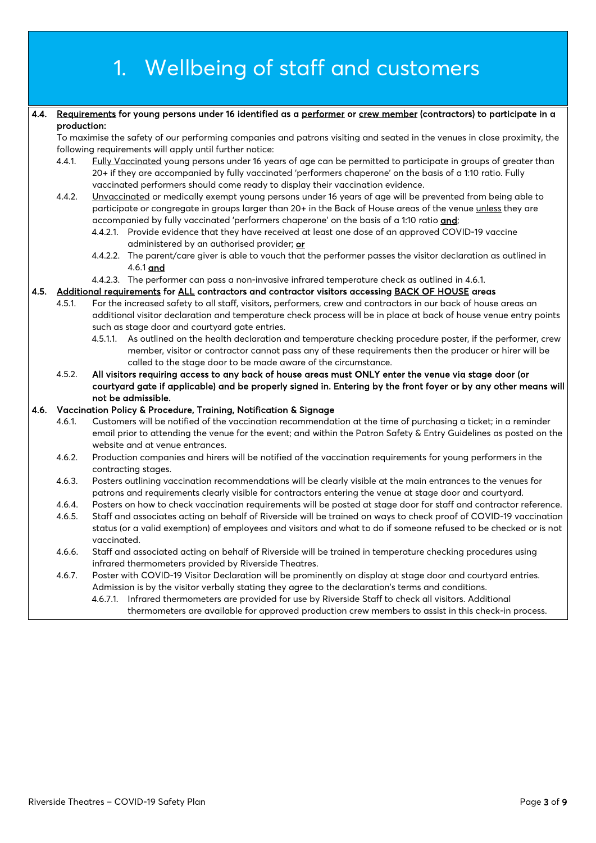|                                                                                                           |             | 1. Wellbeing of staff and customers                                                                                                                                                                                                                                                                                  |  |
|-----------------------------------------------------------------------------------------------------------|-------------|----------------------------------------------------------------------------------------------------------------------------------------------------------------------------------------------------------------------------------------------------------------------------------------------------------------------|--|
|                                                                                                           |             |                                                                                                                                                                                                                                                                                                                      |  |
| 4.4.                                                                                                      | production: | Requirements for young persons under 16 identified as a performer or crew member (contractors) to participate in a                                                                                                                                                                                                   |  |
|                                                                                                           |             | To maximise the safety of our performing companies and patrons visiting and seated in the venues in close proximity, the<br>following requirements will apply until further notice:                                                                                                                                  |  |
|                                                                                                           | 4.4.1.      | Fully Vaccinated young persons under 16 years of age can be permitted to participate in groups of greater than<br>20+ if they are accompanied by fully vaccinated 'performers chaperone' on the basis of a 1:10 ratio. Fully<br>vaccinated performers should come ready to display their vaccination evidence.       |  |
|                                                                                                           | 4.4.2.      | Unvaccinated or medically exempt young persons under 16 years of age will be prevented from being able to<br>participate or congregate in groups larger than 20+ in the Back of House areas of the venue unless they are<br>accompanied by fully vaccinated 'performers chaperone' on the basis of a 1:10 ratio and; |  |
|                                                                                                           |             | 4.4.2.1. Provide evidence that they have received at least one dose of an approved COVID-19 vaccine<br>administered by an authorised provider; or                                                                                                                                                                    |  |
|                                                                                                           |             | 4.4.2.2. The parent/care giver is able to vouch that the performer passes the visitor declaration as outlined in<br>4.6.1 and                                                                                                                                                                                        |  |
|                                                                                                           |             | 4.4.2.3. The performer can pass a non-invasive infrared temperature check as outlined in 4.6.1.                                                                                                                                                                                                                      |  |
| 4.5.<br>Additional requirements for ALL contractors and contractor visitors accessing BACK OF HOUSE areas |             |                                                                                                                                                                                                                                                                                                                      |  |
|                                                                                                           | 4.5.1.      | For the increased safety to all staff, visitors, performers, crew and contractors in our back of house areas an<br>additional visitor declaration and temperature check process will be in place at back of house venue entry points<br>such as stage door and courtyard gate entries.                               |  |
|                                                                                                           |             | 4.5.1.1. As outlined on the health declaration and temperature checking procedure poster, if the performer, crew<br>member, visitor or contractor cannot pass any of these requirements then the producer or hirer will be<br>called to the stage door to be made aware of the circumstance.                         |  |
|                                                                                                           | 4.5.2.      | All visitors requiring access to any back of house areas must ONLY enter the venue via stage door (or<br>courtyard gate if applicable) and be properly signed in. Entering by the front foyer or by any other means will<br>not be admissible.                                                                       |  |
| 4.6.                                                                                                      |             | Vaccination Policy & Procedure, Training, Notification & Signage                                                                                                                                                                                                                                                     |  |
|                                                                                                           | 4.6.1.      | Customers will be notified of the vaccination recommendation at the time of purchasing a ticket; in a reminder<br>email prior to attending the venue for the event; and within the Patron Safety & Entry Guidelines as posted on the<br>website and at venue entrances.                                              |  |
|                                                                                                           | 4.6.2.      | Production companies and hirers will be notified of the vaccination requirements for young performers in the<br>contracting stages.                                                                                                                                                                                  |  |
|                                                                                                           | 4.6.3.      | Posters outlining vaccination recommendations will be clearly visible at the main entrances to the venues for<br>patrons and requirements clearly visible for contractors entering the venue at stage door and courtyard.                                                                                            |  |
|                                                                                                           | 4.6.4.      | Posters on how to check vaccination requirements will be posted at stage door for staff and contractor reference.                                                                                                                                                                                                    |  |
|                                                                                                           | 4.6.5.      | Staff and associates acting on behalf of Riverside will be trained on ways to check proof of COVID-19 vaccination<br>status (or a valid exemption) of employees and visitors and what to do if someone refused to be checked or is not<br>vaccinated.                                                                |  |
|                                                                                                           | 4.6.6.      | Staff and associated acting on behalf of Riverside will be trained in temperature checking procedures using<br>infrared thermometers provided by Riverside Theatres.                                                                                                                                                 |  |
|                                                                                                           | 4.6.7.      | Poster with COVID-19 Visitor Declaration will be prominently on display at stage door and courtyard entries.                                                                                                                                                                                                         |  |

Admission is by the visitor verbally stating they agree to the declaration's terms and conditions. 4.6.7.1. Infrared thermometers are provided for use by Riverside Staff to check all visitors. Additional thermometers are available for approved production crew members to assist in this check-in process.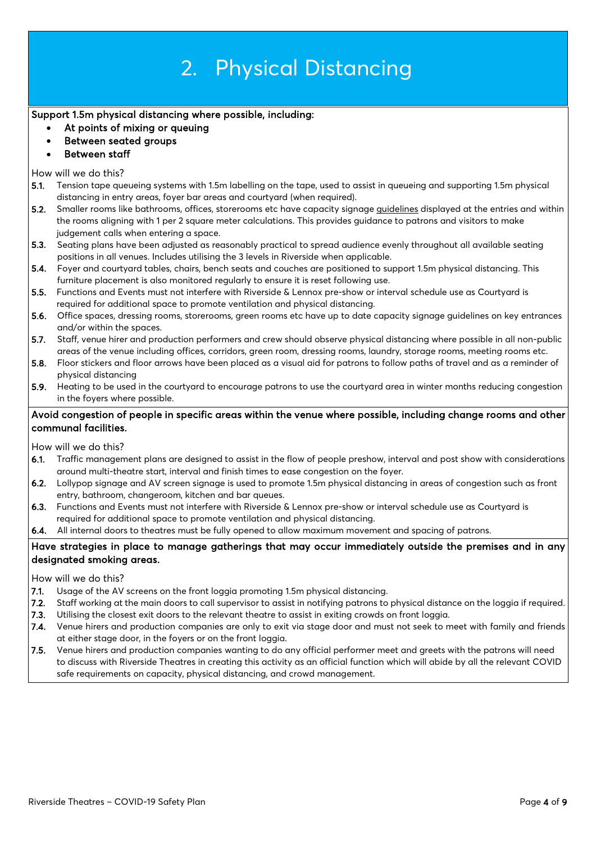# 2. Physical Distancing

### Support 1.5m physical distancing where possible, including:

- At points of mixing or queuing
- Between seated groups
- Between staff

#### How will we do this?

- 5.1. Tension tape queueing systems with 1.5m labelling on the tape, used to assist in queueing and supporting 1.5m physical distancing in entry areas, foyer bar areas and courtyard (when required).
- 5.2. Smaller rooms like bathrooms, offices, storerooms etc have capacity signage guidelines displayed at the entries and within the rooms aligning with 1 per 2 square meter calculations. This provides guidance to patrons and visitors to make judgement calls when entering a space.
- 5.3. Seating plans have been adjusted as reasonably practical to spread audience evenly throughout all available seating positions in all venues. Includes utilising the 3 levels in Riverside when applicable.
- 5.4. Foyer and courtyard tables, chairs, bench seats and couches are positioned to support 1.5m physical distancing. This furniture placement is also monitored regularly to ensure it is reset following use.
- 5.5. Functions and Events must not interfere with Riverside & Lennox pre-show or interval schedule use as Courtyard is required for additional space to promote ventilation and physical distancing.
- 5.6. Office spaces, dressing rooms, storerooms, green rooms etc have up to date capacity signage guidelines on key entrances and/or within the spaces.
- 5.7. Staff, venue hirer and production performers and crew should observe physical distancing where possible in all non-public areas of the venue including offices, corridors, green room, dressing rooms, laundry, storage rooms, meeting rooms etc.
- 5.8. Floor stickers and floor arrows have been placed as a visual aid for patrons to follow paths of travel and as a reminder of physical distancing
- 5.9. Heating to be used in the courtyard to encourage patrons to use the courtyard area in winter months reducing congestion in the foyers where possible.

### Avoid congestion of people in specific areas within the venue where possible, including change rooms and other communal facilities.

How will we do this?

- 6.1. Traffic management plans are designed to assist in the flow of people preshow, interval and post show with considerations around multi-theatre start, interval and finish times to ease congestion on the foyer.
- 6.2. Lollypop signage and AV screen signage is used to promote 1.5m physical distancing in areas of congestion such as front entry, bathroom, changeroom, kitchen and bar queues.
- 6.3. Functions and Events must not interfere with Riverside & Lennox pre-show or interval schedule use as Courtyard is required for additional space to promote ventilation and physical distancing.
- 6.4. All internal doors to theatres must be fully opened to allow maximum movement and spacing of patrons.

### Have strategies in place to manage gatherings that may occur immediately outside the premises and in any designated smoking areas.

How will we do this?

- 7.1. Usage of the AV screens on the front loggia promoting 1.5m physical distancing.
- 7.2. Staff working at the main doors to call supervisor to assist in notifying patrons to physical distance on the loggia if required.
- 7.3. Utilising the closest exit doors to the relevant theatre to assist in exiting crowds on front loggia.
- 7.4. Venue hirers and production companies are only to exit via stage door and must not seek to meet with family and friends at either stage door, in the foyers or on the front loggia.
- 7.5. Venue hirers and production companies wanting to do any official performer meet and greets with the patrons will need to discuss with Riverside Theatres in creating this activity as an official function which will abide by all the relevant COVID safe requirements on capacity, physical distancing, and crowd management.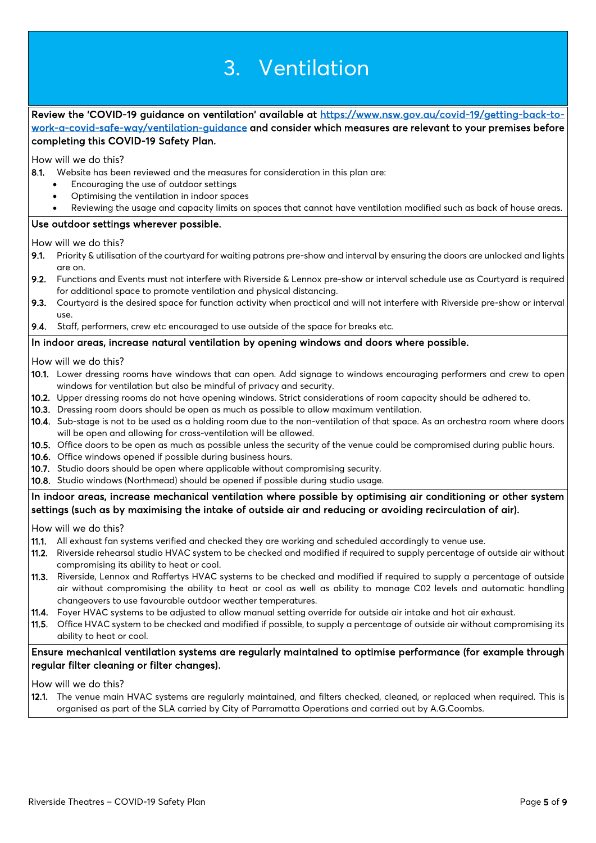# 3. Ventilation

Review the 'COVID-19 guidance on ventilation' available at [https://www.nsw.gov.au/covid-19/getting-back-to](https://www.nsw.gov.au/covid-19/getting-back-to-work-a-covid-safe-way/ventilation-guidance)[work-a-covid-safe-way/ventilation-guidance](https://www.nsw.gov.au/covid-19/getting-back-to-work-a-covid-safe-way/ventilation-guidance) and consider which measures are relevant to your premises before completing this COVID-19 Safety Plan.

How will we do this?

- 8.1. Website has been reviewed and the measures for consideration in this plan are:
	- Encouraging the use of outdoor settings
	- Optimising the ventilation in indoor spaces
	- Reviewing the usage and capacity limits on spaces that cannot have ventilation modified such as back of house areas.

#### Use outdoor settings wherever possible.

How will we do this?

- 9.1. Priority & utilisation of the courtyard for waiting patrons pre-show and interval by ensuring the doors are unlocked and lights are on.
- 9.2. Functions and Events must not interfere with Riverside & Lennox pre-show or interval schedule use as Courtyard is required for additional space to promote ventilation and physical distancing.
- 9.3. Courtyard is the desired space for function activity when practical and will not interfere with Riverside pre-show or interval use.
- 9.4. Staff, performers, crew etc encouraged to use outside of the space for breaks etc.

#### In indoor areas, increase natural ventilation by opening windows and doors where possible.

How will we do this?

- 10.1. Lower dressing rooms have windows that can open. Add signage to windows encouraging performers and crew to open windows for ventilation but also be mindful of privacy and security.
- 10.2. Upper dressing rooms do not have opening windows. Strict considerations of room capacity should be adhered to.
- 10.3. Dressing room doors should be open as much as possible to allow maximum ventilation.
- 10.4. Sub-stage is not to be used as a holding room due to the non-ventilation of that space. As an orchestra room where doors will be open and allowing for cross-ventilation will be allowed.
- 10.5. Office doors to be open as much as possible unless the security of the venue could be compromised during public hours.
- 10.6. Office windows opened if possible during business hours.
- 10.7. Studio doors should be open where applicable without compromising security.
- 10.8. Studio windows (Northmead) should be opened if possible during studio usage.

#### In indoor areas, increase mechanical ventilation where possible by optimising air conditioning or other system settings (such as by maximising the intake of outside air and reducing or avoiding recirculation of air).

How will we do this?

- 11.1. All exhaust fan systems verified and checked they are working and scheduled accordingly to venue use.
- 11.2. Riverside rehearsal studio HVAC system to be checked and modified if required to supply percentage of outside air without compromising its ability to heat or cool.
- 11.3. Riverside, Lennox and Raffertys HVAC systems to be checked and modified if required to supply a percentage of outside air without compromising the ability to heat or cool as well as ability to manage C02 levels and automatic handling changeovers to use favourable outdoor weather temperatures.
- 11.4. Foyer HVAC systems to be adjusted to allow manual setting override for outside air intake and hot air exhaust.
- 11.5. Office HVAC system to be checked and modified if possible, to supply a percentage of outside air without compromising its ability to heat or cool.

#### Ensure mechanical ventilation systems are regularly maintained to optimise performance (for example through regular filter cleaning or filter changes).

How will we do this?

12.1. The venue main HVAC systems are regularly maintained, and filters checked, cleaned, or replaced when required. This is organised as part of the SLA carried by City of Parramatta Operations and carried out by A.G.Coombs.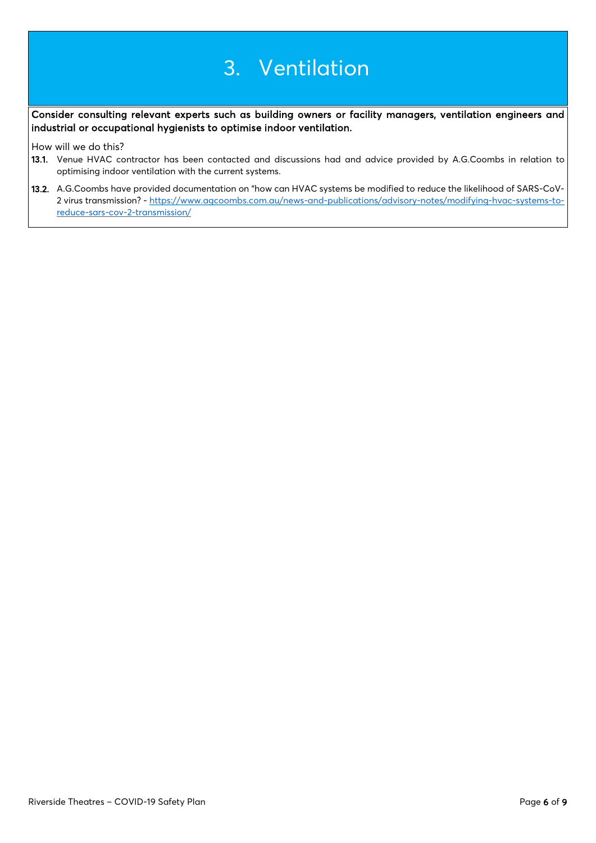## 3. Ventilation

Consider consulting relevant experts such as building owners or facility managers, ventilation engineers and industrial or occupational hygienists to optimise indoor ventilation.

How will we do this?

- 13.1. Venue HVAC contractor has been contacted and discussions had and advice provided by A.G.Coombs in relation to optimising indoor ventilation with the current systems.
- 13.2. A.G.Coombs have provided documentation on "how can HVAC systems be modified to reduce the likelihood of SARS-CoV-2 virus transmission? - [https://www.agcoombs.com.au/news-and-publications/advisory-notes/modifying-hvac-systems-to](https://www.agcoombs.com.au/news-and-publications/advisory-notes/modifying-hvac-systems-to-reduce-sars-cov-2-transmission/)[reduce-sars-cov-2-transmission/](https://www.agcoombs.com.au/news-and-publications/advisory-notes/modifying-hvac-systems-to-reduce-sars-cov-2-transmission/)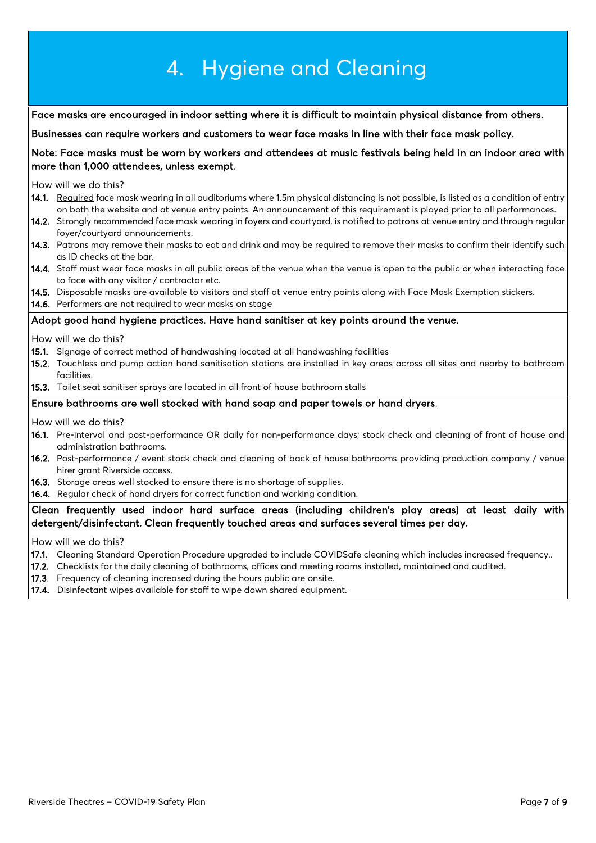|                                                                                                       | 4. Hygiene and Cleaning                                                                                                                                                                                                                                                                                                                                                                                                               |  |  |  |
|-------------------------------------------------------------------------------------------------------|---------------------------------------------------------------------------------------------------------------------------------------------------------------------------------------------------------------------------------------------------------------------------------------------------------------------------------------------------------------------------------------------------------------------------------------|--|--|--|
|                                                                                                       |                                                                                                                                                                                                                                                                                                                                                                                                                                       |  |  |  |
|                                                                                                       | Face masks are encouraged in indoor setting where it is difficult to maintain physical distance from others.                                                                                                                                                                                                                                                                                                                          |  |  |  |
|                                                                                                       | Businesses can require workers and customers to wear face masks in line with their face mask policy.                                                                                                                                                                                                                                                                                                                                  |  |  |  |
|                                                                                                       | Note: Face masks must be worn by workers and attendees at music festivals being held in an indoor area with<br>more than 1,000 attendees, unless exempt.                                                                                                                                                                                                                                                                              |  |  |  |
|                                                                                                       | How will we do this?                                                                                                                                                                                                                                                                                                                                                                                                                  |  |  |  |
|                                                                                                       | 14.1. Required face mask wearing in all auditoriums where 1.5m physical distancing is not possible, is listed as a condition of entry<br>on both the website and at venue entry points. An announcement of this requirement is played prior to all performances.<br>14.2. Strongly recommended face mask wearing in foyers and courtyard, is notified to patrons at venue entry and through regular<br>foyer/courtyard announcements. |  |  |  |
|                                                                                                       | 14.3. Patrons may remove their masks to eat and drink and may be required to remove their masks to confirm their identify such<br>as ID checks at the bar.                                                                                                                                                                                                                                                                            |  |  |  |
|                                                                                                       | 14.4. Staff must wear face masks in all public areas of the venue when the venue is open to the public or when interacting face<br>to face with any visitor / contractor etc.                                                                                                                                                                                                                                                         |  |  |  |
|                                                                                                       | 14.5. Disposable masks are available to visitors and staff at venue entry points along with Face Mask Exemption stickers.<br>14.6. Performers are not required to wear masks on stage                                                                                                                                                                                                                                                 |  |  |  |
|                                                                                                       | Adopt good hand hygiene practices. Have hand sanitiser at key points around the venue.                                                                                                                                                                                                                                                                                                                                                |  |  |  |
|                                                                                                       | How will we do this?                                                                                                                                                                                                                                                                                                                                                                                                                  |  |  |  |
|                                                                                                       | 15.1. Signage of correct method of handwashing located at all handwashing facilities                                                                                                                                                                                                                                                                                                                                                  |  |  |  |
|                                                                                                       | 15.2. Touchless and pump action hand sanitisation stations are installed in key areas across all sites and nearby to bathroom<br>facilities.                                                                                                                                                                                                                                                                                          |  |  |  |
|                                                                                                       | 15.3. Toilet seat sanitiser sprays are located in all front of house bathroom stalls                                                                                                                                                                                                                                                                                                                                                  |  |  |  |
|                                                                                                       | Ensure bathrooms are well stocked with hand soap and paper towels or hand dryers.                                                                                                                                                                                                                                                                                                                                                     |  |  |  |
|                                                                                                       | How will we do this?                                                                                                                                                                                                                                                                                                                                                                                                                  |  |  |  |
|                                                                                                       | 16.1. Pre-interval and post-performance OR daily for non-performance days; stock check and cleaning of front of house and<br>administration bathrooms.                                                                                                                                                                                                                                                                                |  |  |  |
|                                                                                                       | 16.2. Post-performance / event stock check and cleaning of back of house bathrooms providing production company / venue<br>hirer grant Riverside access.                                                                                                                                                                                                                                                                              |  |  |  |
|                                                                                                       | 16.3. Storage areas well stocked to ensure there is no shortage of supplies.<br>16.4. Regular check of hand dryers for correct function and working condition.                                                                                                                                                                                                                                                                        |  |  |  |
| Clean frequently used indoor hard surface areas (including children's play areas) at least daily with |                                                                                                                                                                                                                                                                                                                                                                                                                                       |  |  |  |
| detergent/disinfectant. Clean frequently touched areas and surfaces several times per day.            |                                                                                                                                                                                                                                                                                                                                                                                                                                       |  |  |  |
|                                                                                                       | How will we do this?                                                                                                                                                                                                                                                                                                                                                                                                                  |  |  |  |
|                                                                                                       | 17.1. Cleaning Standard Operation Procedure upgraded to include COVIDSafe cleaning which includes increased frequency<br>17.2. Checklists for the daily cleaning of bathrooms, offices and meeting rooms installed, maintained and audited.                                                                                                                                                                                           |  |  |  |
|                                                                                                       | 17.2 Example of close increased during the bours public are operate                                                                                                                                                                                                                                                                                                                                                                   |  |  |  |

- **17.3.** Frequency of cleaning increased during the hours public are onsite.
- 17.4. Disinfectant wipes available for staff to wipe down shared equipment.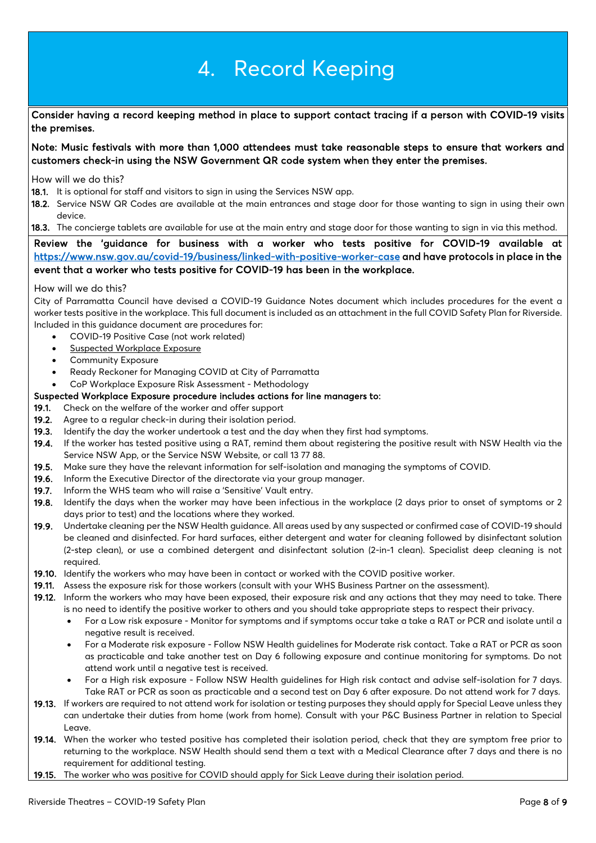# 4. Record Keeping

Consider having a record keeping method in place to support contact tracing if a person with COVID-19 visits the premises.

Note: Music festivals with more than 1,000 attendees must take reasonable steps to ensure that workers and customers check-in using the NSW Government QR code system when they enter the premises.

How will we do this?

- 18.1. It is optional for staff and visitors to sign in using the Services NSW app.
- 18.2. Service NSW QR Codes are available at the main entrances and stage door for those wanting to sign in using their own device.
- 18.3. The concierge tablets are available for use at the main entry and stage door for those wanting to sign in via this method.

### Review the 'guidance for business with a worker who tests positive for COVID-19 available at <https://www.nsw.gov.au/covid-19/business/linked-with-positive-worker-case>and have protocols in place in the event that a worker who tests positive for COVID-19 has been in the workplace.

#### How will we do this?

City of Parramatta Council have devised a COVID-19 Guidance Notes document which includes procedures for the event a worker tests positive in the workplace. This full document is included as an attachment in the full COVID Safety Plan for Riverside. Included in this guidance document are procedures for:

- COVID-19 Positive Case (not work related)
- Suspected Workplace Exposure
- Community Exposure
- Ready Reckoner for Managing COVID at City of Parramatta
- CoP Workplace Exposure Risk Assessment Methodology

#### Suspected Workplace Exposure procedure includes actions for line managers to:

- 19.1. Check on the welfare of the worker and offer support
- 19.2. Agree to a regular check-in during their isolation period.
- 19.3. Identify the day the worker undertook a test and the day when they first had symptoms.
- 19.4. If the worker has tested positive using a RAT, remind them about registering the positive result with NSW Health via the Service NSW App, or the Service NSW Website, or call 13 77 88.
- 19.5. Make sure they have the relevant information for self-isolation and managing the symptoms of COVID.
- 19.6. Inform the Executive Director of the directorate via your group manager.
- 19.7. Inform the WHS team who will raise a 'Sensitive' Vault entry.
- 19.8. Identify the days when the worker may have been infectious in the workplace (2 days prior to onset of symptoms or 2 days prior to test) and the locations where they worked.
- 19.9. Undertake cleaning per the NSW Health guidance. All areas used by any suspected or confirmed case of COVID-19 should be cleaned and disinfected. For hard surfaces, either detergent and water for cleaning followed by disinfectant solution (2-step clean), or use a combined detergent and disinfectant solution (2-in-1 clean). Specialist deep cleaning is not required.
- 19.10. Identify the workers who may have been in contact or worked with the COVID positive worker.
- 19.11. Assess the exposure risk for those workers (consult with your WHS Business Partner on the assessment).
- 19.12. Inform the workers who may have been exposed, their exposure risk and any actions that they may need to take. There is no need to identify the positive worker to others and you should take appropriate steps to respect their privacy.
	- For a Low risk exposure Monitor for symptoms and if symptoms occur take a take a RAT or PCR and isolate until a negative result is received.
	- For a Moderate risk exposure Follow NSW Health guidelines for Moderate risk contact. Take a RAT or PCR as soon as practicable and take another test on Day 6 following exposure and continue monitoring for symptoms. Do not attend work until a negative test is received.
	- For a High risk exposure Follow NSW Health guidelines for High risk contact and advise self-isolation for 7 days. Take RAT or PCR as soon as practicable and a second test on Day 6 after exposure. Do not attend work for 7 days.
- 19.13. If workers are required to not attend work for isolation or testing purposes they should apply for Special Leave unless they can undertake their duties from home (work from home). Consult with your P&C Business Partner in relation to Special Leave.
- 19.14. When the worker who tested positive has completed their isolation period, check that they are symptom free prior to returning to the workplace. NSW Health should send them a text with a Medical Clearance after 7 days and there is no requirement for additional testing.
- 19.15. The worker who was positive for COVID should apply for Sick Leave during their isolation period.